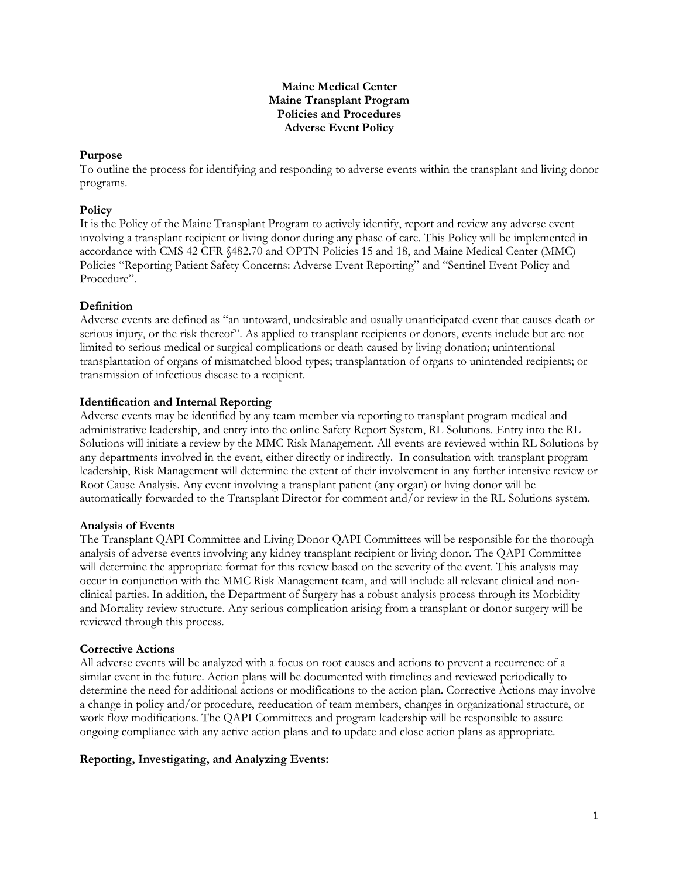#### **Maine Medical Center Maine Transplant Program Policies and Procedures Adverse Event Policy**

## **Purpose**

To outline the process for identifying and responding to adverse events within the transplant and living donor programs.

# **Policy**

It is the Policy of the Maine Transplant Program to actively identify, report and review any adverse event involving a transplant recipient or living donor during any phase of care. This Policy will be implemented in accordance with CMS 42 CFR §482.70 and OPTN Policies 15 and 18, and Maine Medical Center (MMC) Policies "Reporting Patient Safety Concerns: Adverse Event Reporting" and "Sentinel Event Policy and Procedure".

# **Definition**

Adverse events are defined as "an untoward, undesirable and usually unanticipated event that causes death or serious injury, or the risk thereof". As applied to transplant recipients or donors, events include but are not limited to serious medical or surgical complications or death caused by living donation; unintentional transplantation of organs of mismatched blood types; transplantation of organs to unintended recipients; or transmission of infectious disease to a recipient.

# **Identification and Internal Reporting**

Adverse events may be identified by any team member via reporting to transplant program medical and administrative leadership, and entry into the online Safety Report System, RL Solutions. Entry into the RL Solutions will initiate a review by the MMC Risk Management. All events are reviewed within RL Solutions by any departments involved in the event, either directly or indirectly. In consultation with transplant program leadership, Risk Management will determine the extent of their involvement in any further intensive review or Root Cause Analysis. Any event involving a transplant patient (any organ) or living donor will be automatically forwarded to the Transplant Director for comment and/or review in the RL Solutions system.

## **Analysis of Events**

The Transplant QAPI Committee and Living Donor QAPI Committees will be responsible for the thorough analysis of adverse events involving any kidney transplant recipient or living donor. The QAPI Committee will determine the appropriate format for this review based on the severity of the event. This analysis may occur in conjunction with the MMC Risk Management team, and will include all relevant clinical and nonclinical parties. In addition, the Department of Surgery has a robust analysis process through its Morbidity and Mortality review structure. Any serious complication arising from a transplant or donor surgery will be reviewed through this process.

## **Corrective Actions**

All adverse events will be analyzed with a focus on root causes and actions to prevent a recurrence of a similar event in the future. Action plans will be documented with timelines and reviewed periodically to determine the need for additional actions or modifications to the action plan. Corrective Actions may involve a change in policy and/or procedure, reeducation of team members, changes in organizational structure, or work flow modifications. The QAPI Committees and program leadership will be responsible to assure ongoing compliance with any active action plans and to update and close action plans as appropriate.

# **Reporting, Investigating, and Analyzing Events:**